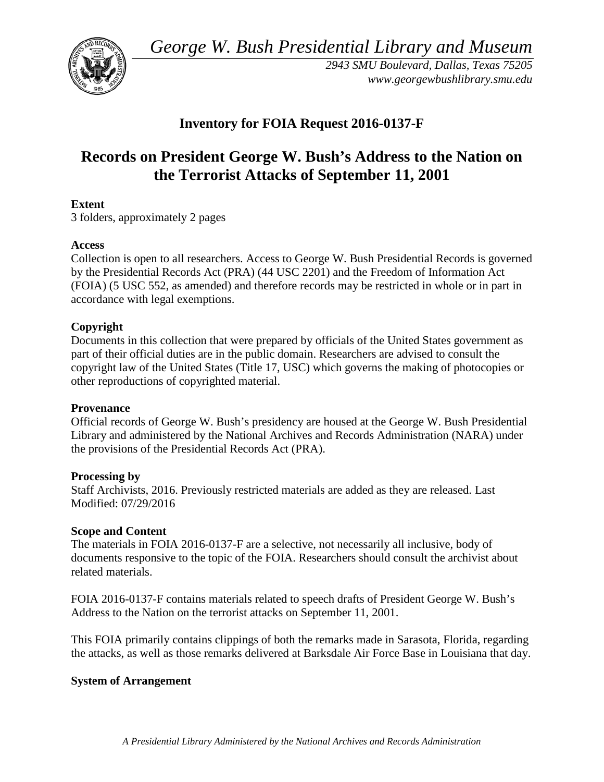*George W. Bush Presidential Library and Museum*



*2943 SMU Boulevard, Dallas, Texas 75205 www.georgewbushlibrary.smu.edu*

# **Inventory for FOIA Request 2016-0137-F**

# **Records on President George W. Bush's Address to the Nation on the Terrorist Attacks of September 11, 2001**

# **Extent**

3 folders, approximately 2 pages

# **Access**

Collection is open to all researchers. Access to George W. Bush Presidential Records is governed by the Presidential Records Act (PRA) (44 USC 2201) and the Freedom of Information Act (FOIA) (5 USC 552, as amended) and therefore records may be restricted in whole or in part in accordance with legal exemptions.

#### **Copyright**

Documents in this collection that were prepared by officials of the United States government as part of their official duties are in the public domain. Researchers are advised to consult the copyright law of the United States (Title 17, USC) which governs the making of photocopies or other reproductions of copyrighted material.

#### **Provenance**

Official records of George W. Bush's presidency are housed at the George W. Bush Presidential Library and administered by the National Archives and Records Administration (NARA) under the provisions of the Presidential Records Act (PRA).

#### **Processing by**

Staff Archivists, 2016. Previously restricted materials are added as they are released. Last Modified: 07/29/2016

#### **Scope and Content**

The materials in FOIA 2016-0137-F are a selective, not necessarily all inclusive, body of documents responsive to the topic of the FOIA. Researchers should consult the archivist about related materials.

FOIA 2016-0137-F contains materials related to speech drafts of President George W. Bush's Address to the Nation on the terrorist attacks on September 11, 2001.

This FOIA primarily contains clippings of both the remarks made in Sarasota, Florida, regarding the attacks, as well as those remarks delivered at Barksdale Air Force Base in Louisiana that day.

# **System of Arrangement**